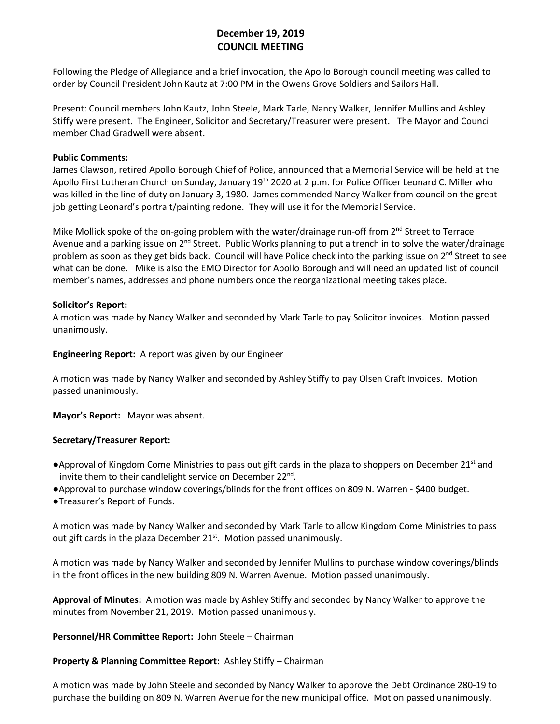# **December 19, 2019 COUNCIL MEETING**

Following the Pledge of Allegiance and a brief invocation, the Apollo Borough council meeting was called to order by Council President John Kautz at 7:00 PM in the Owens Grove Soldiers and Sailors Hall.

Present: Council members John Kautz, John Steele, Mark Tarle, Nancy Walker, Jennifer Mullins and Ashley Stiffy were present. The Engineer, Solicitor and Secretary/Treasurer were present. The Mayor and Council member Chad Gradwell were absent.

### **Public Comments:**

James Clawson, retired Apollo Borough Chief of Police, announced that a Memorial Service will be held at the Apollo First Lutheran Church on Sunday, January 19<sup>th</sup> 2020 at 2 p.m. for Police Officer Leonard C. Miller who was killed in the line of duty on January 3, 1980. James commended Nancy Walker from council on the great job getting Leonard's portrait/painting redone. They will use it for the Memorial Service.

Mike Mollick spoke of the on-going problem with the water/drainage run-off from  $2^{nd}$  Street to Terrace Avenue and a parking issue on 2<sup>nd</sup> Street. Public Works planning to put a trench in to solve the water/drainage problem as soon as they get bids back. Council will have Police check into the parking issue on 2<sup>nd</sup> Street to see what can be done. Mike is also the EMO Director for Apollo Borough and will need an updated list of council member's names, addresses and phone numbers once the reorganizational meeting takes place.

### **Solicitor's Report:**

A motion was made by Nancy Walker and seconded by Mark Tarle to pay Solicitor invoices. Motion passed unanimously.

**Engineering Report:** A report was given by our Engineer

A motion was made by Nancy Walker and seconded by Ashley Stiffy to pay Olsen Craft Invoices. Motion passed unanimously.

**Mayor's Report:** Mayor was absent.

## **Secretary/Treasurer Report:**

- ●Approval of Kingdom Come Ministries to pass out gift cards in the plaza to shoppers on December 21<sup>st</sup> and invite them to their candlelight service on December 22<sup>nd</sup>.
- ●Approval to purchase window coverings/blinds for the front offices on 809 N. Warren \$400 budget.
- ●Treasurer's Report of Funds.

A motion was made by Nancy Walker and seconded by Mark Tarle to allow Kingdom Come Ministries to pass out gift cards in the plaza December 21<sup>st</sup>. Motion passed unanimously.

A motion was made by Nancy Walker and seconded by Jennifer Mullins to purchase window coverings/blinds in the front offices in the new building 809 N. Warren Avenue. Motion passed unanimously.

**Approval of Minutes:** A motion was made by Ashley Stiffy and seconded by Nancy Walker to approve the minutes from November 21, 2019. Motion passed unanimously.

**Personnel/HR Committee Report:** John Steele – Chairman

## **Property & Planning Committee Report:** Ashley Stiffy – Chairman

A motion was made by John Steele and seconded by Nancy Walker to approve the Debt Ordinance 280-19 to purchase the building on 809 N. Warren Avenue for the new municipal office. Motion passed unanimously.